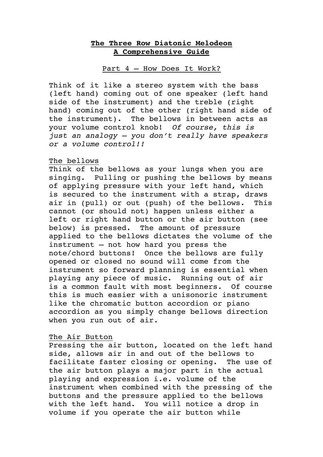# **The Three Row Diatonic Melodeon A Comprehensive Guide**

## Part 4 – How Does It Work?

Think of it like a stereo system with the bass (left hand) coming out of one speaker (left hand side of the instrument) and the treble (right hand) coming out of the other (right hand side of the instrument). The bellows in between acts as your volume control knob! *Of course, this is just an analogy – you don't really have speakers or a volume control!!*

## The bellows

Think of the bellows as your lungs when you are singing. Pulling or pushing the bellows by means of applying pressure with your left hand, which is secured to the instrument with a strap, draws air in (pull) or out (push) of the bellows. This cannot (or should not) happen unless either a left or right hand button or the air button (see below) is pressed. The amount of pressure applied to the bellows dictates the volume of the instrument – not how hard you press the note/chord buttons! Once the bellows are fully opened or closed no sound will come from the instrument so forward planning is essential when playing any piece of music. Running out of air is a common fault with most beginners. Of course this is much easier with a unisonoric instrument like the chromatic button accordion or piano accordion as you simply change bellows direction when you run out of air.

# The Air Button

Pressing the air button, located on the left hand side, allows air in and out of the bellows to facilitate faster closing or opening. The use of the air button plays a major part in the actual playing and expression i.e. volume of the instrument when combined with the pressing of the buttons and the pressure applied to the bellows with the left hand. You will notice a drop in volume if you operate the air button while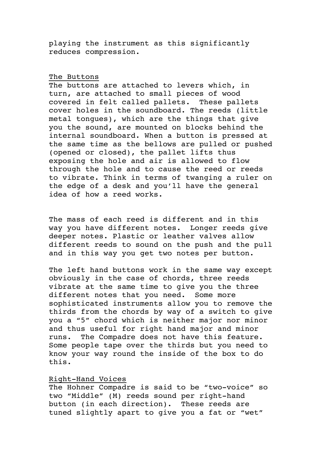playing the instrument as this significantly reduces compression.

#### The Buttons

The buttons are attached to levers which, in turn, are attached to small pieces of wood covered in felt called pallets. These pallets cover holes in the soundboard. The reeds (little metal tongues), which are the things that give you the sound, are mounted on blocks behind the internal soundboard. When a button is pressed at the same time as the bellows are pulled or pushed (opened or closed), the pallet lifts thus exposing the hole and air is allowed to flow through the hole and to cause the reed or reeds to vibrate. Think in terms of twanging a ruler on the edge of a desk and you'll have the general idea of how a reed works.

The mass of each reed is different and in this way you have different notes. Longer reeds give deeper notes. Plastic or leather valves allow different reeds to sound on the push and the pull and in this way you get two notes per button.

The left hand buttons work in the same way except obviously in the case of chords, three reeds vibrate at the same time to give you the three different notes that you need. Some more sophisticated instruments allow you to remove the thirds from the chords by way of a switch to give you a "5" chord which is neither major nor minor and thus useful for right hand major and minor runs. The Compadre does not have this feature. Some people tape over the thirds but you need to know your way round the inside of the box to do this.

### Right-Hand Voices

The Hohner Compadre is said to be "two-voice" so two "Middle" (M) reeds sound per right-hand button (in each direction). These reeds are tuned slightly apart to give you a fat or "wet"